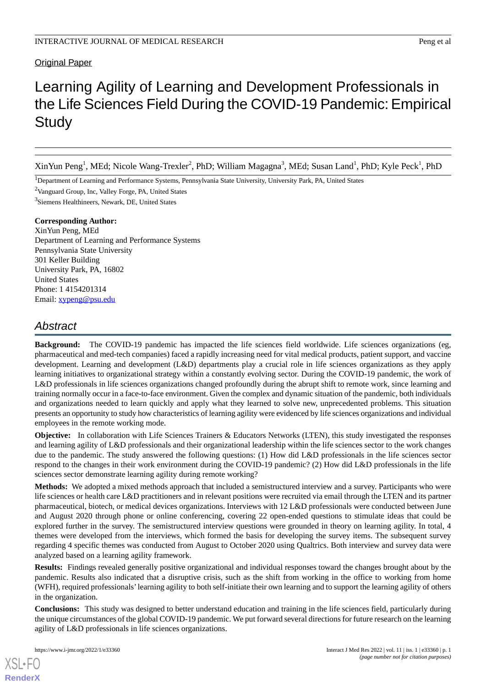## Original Paper

# Learning Agility of Learning and Development Professionals in the Life Sciences Field During the COVID-19 Pandemic: Empirical **Study**

XinYun Peng<sup>1</sup>, MEd; Nicole Wang-Trexler<sup>2</sup>, PhD; William Magagna<sup>3</sup>, MEd; Susan Land<sup>1</sup>, PhD; Kyle Peck<sup>1</sup>, PhD

<sup>1</sup>Department of Learning and Performance Systems, Pennsylvania State University, University Park, PA, United States

<sup>2</sup>Vanguard Group, Inc, Valley Forge, PA, United States

3 Siemens Healthineers, Newark, DE, United States

## **Corresponding Author:**

XinYun Peng, MEd Department of Learning and Performance Systems Pennsylvania State University 301 Keller Building University Park, PA, 16802 United States Phone: 1 4154201314 Email: [xypeng@psu.edu](mailto:xypeng@psu.edu)

# *Abstract*

**Background:** The COVID-19 pandemic has impacted the life sciences field worldwide. Life sciences organizations (eg, pharmaceutical and med-tech companies) faced a rapidly increasing need for vital medical products, patient support, and vaccine development. Learning and development (L&D) departments play a crucial role in life sciences organizations as they apply learning initiatives to organizational strategy within a constantly evolving sector. During the COVID-19 pandemic, the work of L&D professionals in life sciences organizations changed profoundly during the abrupt shift to remote work, since learning and training normally occur in a face-to-face environment. Given the complex and dynamic situation of the pandemic, both individuals and organizations needed to learn quickly and apply what they learned to solve new, unprecedented problems. This situation presents an opportunity to study how characteristics of learning agility were evidenced by life sciences organizations and individual employees in the remote working mode.

**Objective:** In collaboration with Life Sciences Trainers & Educators Networks (LTEN), this study investigated the responses and learning agility of L&D professionals and their organizational leadership within the life sciences sector to the work changes due to the pandemic. The study answered the following questions: (1) How did L&D professionals in the life sciences sector respond to the changes in their work environment during the COVID-19 pandemic? (2) How did L&D professionals in the life sciences sector demonstrate learning agility during remote working?

**Methods:** We adopted a mixed methods approach that included a semistructured interview and a survey. Participants who were life sciences or health care L&D practitioners and in relevant positions were recruited via email through the LTEN and its partner pharmaceutical, biotech, or medical devices organizations. Interviews with 12 L&D professionals were conducted between June and August 2020 through phone or online conferencing, covering 22 open-ended questions to stimulate ideas that could be explored further in the survey. The semistructured interview questions were grounded in theory on learning agility. In total, 4 themes were developed from the interviews, which formed the basis for developing the survey items. The subsequent survey regarding 4 specific themes was conducted from August to October 2020 using Qualtrics. Both interview and survey data were analyzed based on a learning agility framework.

**Results:** Findings revealed generally positive organizational and individual responses toward the changes brought about by the pandemic. Results also indicated that a disruptive crisis, such as the shift from working in the office to working from home (WFH), required professionals'learning agility to both self-initiate their own learning and to support the learning agility of others in the organization.

**Conclusions:** This study was designed to better understand education and training in the life sciences field, particularly during the unique circumstances of the global COVID-19 pandemic. We put forward several directions for future research on the learning agility of L&D professionals in life sciences organizations.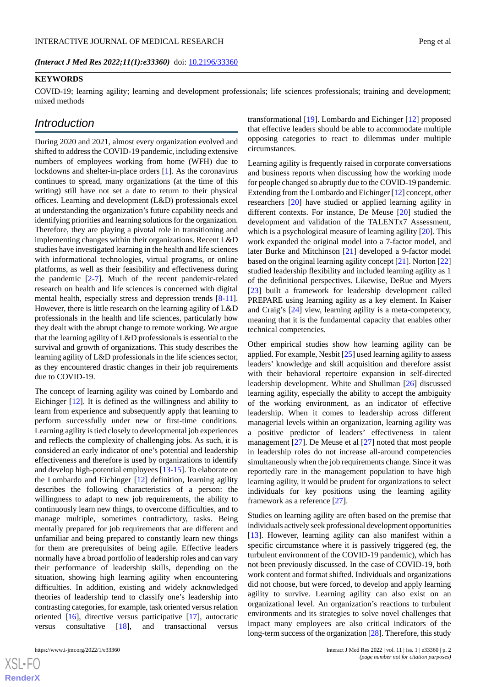#### INTERACTIVE JOURNAL OF MEDICAL RESEARCH **Peng et al.** Peng et al.

*(Interact J Med Res 2022;11(1):e33360)* doi:  $10.2196/33360$ 

## **KEYWORDS**

COVID-19; learning agility; learning and development professionals; life sciences professionals; training and development; mixed methods

# *Introduction*

During 2020 and 2021, almost every organization evolved and shifted to address the COVID-19 pandemic, including extensive numbers of employees working from home (WFH) due to lockdowns and shelter-in-place orders [[1\]](#page-9-0). As the coronavirus continues to spread, many organizations (at the time of this writing) still have not set a date to return to their physical offices. Learning and development (L&D) professionals excel at understanding the organization's future capability needs and identifying priorities and learning solutions for the organization. Therefore, they are playing a pivotal role in transitioning and implementing changes within their organizations. Recent L&D studies have investigated learning in the health and life sciences with informational technologies, virtual programs, or online platforms, as well as their feasibility and effectiveness during the pandemic [[2-](#page-9-1)[7](#page-10-0)]. Much of the recent pandemic-related research on health and life sciences is concerned with digital mental health, especially stress and depression trends [[8](#page-10-1)-[11\]](#page-10-2). However, there is little research on the learning agility of L&D professionals in the health and life sciences, particularly how they dealt with the abrupt change to remote working. We argue that the learning agility of L&D professionals is essential to the survival and growth of organizations. This study describes the learning agility of L&D professionals in the life sciences sector, as they encountered drastic changes in their job requirements due to COVID-19.

The concept of learning agility was coined by Lombardo and Eichinger [\[12](#page-10-3)]. It is defined as the willingness and ability to learn from experience and subsequently apply that learning to perform successfully under new or first-time conditions. Learning agility is tied closely to developmental job experiences and reflects the complexity of challenging jobs. As such, it is considered an early indicator of one's potential and leadership effectiveness and therefore is used by organizations to identify and develop high-potential employees [\[13](#page-10-4)[-15](#page-10-5)]. To elaborate on the Lombardo and Eichinger [[12\]](#page-10-3) definition, learning agility describes the following characteristics of a person: the willingness to adapt to new job requirements, the ability to continuously learn new things, to overcome difficulties, and to manage multiple, sometimes contradictory, tasks. Being mentally prepared for job requirements that are different and unfamiliar and being prepared to constantly learn new things for them are prerequisites of being agile. Effective leaders normally have a broad portfolio of leadership roles and can vary their performance of leadership skills, depending on the situation, showing high learning agility when encountering difficulties. In addition, existing and widely acknowledged theories of leadership tend to classify one's leadership into contrasting categories, for example, task oriented versus relation oriented [[16\]](#page-10-6), directive versus participative [[17\]](#page-10-7), autocratic versus consultative [[18\]](#page-10-8), and transactional versus

 $XS$  $\cdot$ FC **[RenderX](http://www.renderx.com/)** transformational [[19\]](#page-10-9). Lombardo and Eichinger [\[12](#page-10-3)] proposed that effective leaders should be able to accommodate multiple opposing categories to react to dilemmas under multiple circumstances.

Learning agility is frequently raised in corporate conversations and business reports when discussing how the working mode for people changed so abruptly due to the COVID-19 pandemic. Extending from the Lombardo and Eichinger [[12\]](#page-10-3) concept, other researchers [\[20](#page-10-10)] have studied or applied learning agility in different contexts. For instance, De Meuse [[20\]](#page-10-10) studied the development and validation of the TALENTx7 Assessment, which is a psychological measure of learning agility [[20\]](#page-10-10). This work expanded the original model into a 7-factor model, and later Burke and Mitchinson [\[21](#page-10-11)] developed a 9-factor model based on the original learning agility concept [[21\]](#page-10-11). Norton [\[22](#page-10-12)] studied leadership flexibility and included learning agility as 1 of the definitional perspectives. Likewise, DeRue and Myers [[23\]](#page-10-13) built a framework for leadership development called PREPARE using learning agility as a key element. In Kaiser and Craig's [[24\]](#page-10-14) view, learning agility is a meta-competency, meaning that it is the fundamental capacity that enables other technical competencies.

Other empirical studies show how learning agility can be applied. For example, Nesbit [[25\]](#page-10-15) used learning agility to assess leaders' knowledge and skill acquisition and therefore assist with their behavioral repertoire expansion in self-directed leadership development. White and Shullman [\[26](#page-10-16)] discussed learning agility, especially the ability to accept the ambiguity of the working environment, as an indicator of effective leadership. When it comes to leadership across different managerial levels within an organization, learning agility was a positive predictor of leaders' effectiveness in talent management [[27\]](#page-10-17). De Meuse et al [[27\]](#page-10-17) noted that most people in leadership roles do not increase all-around competencies simultaneously when the job requirements change. Since it was reportedly rare in the management population to have high learning agility, it would be prudent for organizations to select individuals for key positions using the learning agility framework as a reference [\[27](#page-10-17)].

Studies on learning agility are often based on the premise that individuals actively seek professional development opportunities [[13\]](#page-10-4). However, learning agility can also manifest within a specific circumstance where it is passively triggered (eg, the turbulent environment of the COVID-19 pandemic), which has not been previously discussed. In the case of COVID-19, both work content and format shifted. Individuals and organizations did not choose, but were forced, to develop and apply learning agility to survive. Learning agility can also exist on an organizational level. An organization's reactions to turbulent environments and its strategies to solve novel challenges that impact many employees are also critical indicators of the long-term success of the organization [\[28](#page-10-18)]. Therefore, this study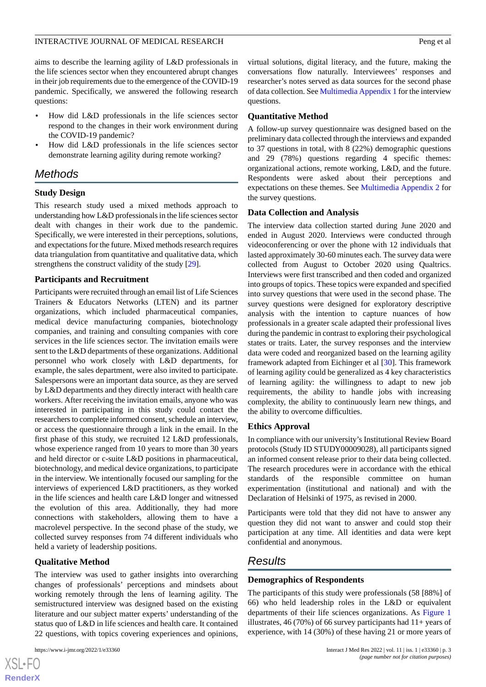aims to describe the learning agility of L&D professionals in the life sciences sector when they encountered abrupt changes in their job requirements due to the emergence of the COVID-19 pandemic. Specifically, we answered the following research questions:

- How did L&D professionals in the life sciences sector respond to the changes in their work environment during the COVID-19 pandemic?
- How did L&D professionals in the life sciences sector demonstrate learning agility during remote working?

# *Methods*

## **Study Design**

This research study used a mixed methods approach to understanding how L&D professionals in the life sciences sector dealt with changes in their work due to the pandemic. Specifically, we were interested in their perceptions, solutions, and expectations for the future. Mixed methods research requires data triangulation from quantitative and qualitative data, which strengthens the construct validity of the study [\[29](#page-11-0)].

## **Participants and Recruitment**

Participants were recruited through an email list of Life Sciences Trainers & Educators Networks (LTEN) and its partner organizations, which included pharmaceutical companies, medical device manufacturing companies, biotechnology companies, and training and consulting companies with core services in the life sciences sector. The invitation emails were sent to the L&D departments of these organizations. Additional personnel who work closely with L&D departments, for example, the sales department, were also invited to participate. Salespersons were an important data source, as they are served by L&D departments and they directly interact with health care workers. After receiving the invitation emails, anyone who was interested in participating in this study could contact the researchers to complete informed consent, schedule an interview, or access the questionnaire through a link in the email. In the first phase of this study, we recruited 12 L&D professionals, whose experience ranged from 10 years to more than 30 years and held director or c-suite L&D positions in pharmaceutical, biotechnology, and medical device organizations, to participate in the interview. We intentionally focused our sampling for the interviews of experienced L&D practitioners, as they worked in the life sciences and health care L&D longer and witnessed the evolution of this area. Additionally, they had more connections with stakeholders, allowing them to have a macrolevel perspective. In the second phase of the study, we collected survey responses from 74 different individuals who held a variety of leadership positions.

## **Qualitative Method**

The interview was used to gather insights into overarching changes of professionals' perceptions and mindsets about working remotely through the lens of learning agility. The semistructured interview was designed based on the existing literature and our subject matter experts' understanding of the status quo of L&D in life sciences and health care. It contained 22 questions, with topics covering experiences and opinions,

 $XSJ \cdot F$ **[RenderX](http://www.renderx.com/)** virtual solutions, digital literacy, and the future, making the conversations flow naturally. Interviewees' responses and researcher's notes served as data sources for the second phase of data collection. See [Multimedia Appendix 1](#page-9-2) for the interview questions.

## **Quantitative Method**

A follow-up survey questionnaire was designed based on the preliminary data collected through the interviews and expanded to 37 questions in total, with 8 (22%) demographic questions and 29 (78%) questions regarding 4 specific themes: organizational actions, remote working, L&D, and the future. Respondents were asked about their perceptions and expectations on these themes. See [Multimedia Appendix 2](#page-9-3) for the survey questions.

## **Data Collection and Analysis**

The interview data collection started during June 2020 and ended in August 2020. Interviews were conducted through videoconferencing or over the phone with 12 individuals that lasted approximately 30-60 minutes each. The survey data were collected from August to October 2020 using Qualtrics. Interviews were first transcribed and then coded and organized into groups of topics. These topics were expanded and specified into survey questions that were used in the second phase. The survey questions were designed for exploratory descriptive analysis with the intention to capture nuances of how professionals in a greater scale adapted their professional lives during the pandemic in contrast to exploring their psychological states or traits. Later, the survey responses and the interview data were coded and reorganized based on the learning agility framework adapted from Eichinger et al [\[30](#page-11-1)]. This framework of learning agility could be generalized as 4 key characteristics of learning agility: the willingness to adapt to new job requirements, the ability to handle jobs with increasing complexity, the ability to continuously learn new things, and the ability to overcome difficulties.

## **Ethics Approval**

In compliance with our university's Institutional Review Board protocols (Study ID STUDY00009028), all participants signed an informed consent release prior to their data being collected. The research procedures were in accordance with the ethical standards of the responsible committee on human experimentation (institutional and national) and with the Declaration of Helsinki of 1975, as revised in 2000.

Participants were told that they did not have to answer any question they did not want to answer and could stop their participation at any time. All identities and data were kept confidential and anonymous.

# *Results*

## **Demographics of Respondents**

The participants of this study were professionals (58 [88%] of 66) who held leadership roles in the L&D or equivalent departments of their life sciences organizations. As [Figure 1](#page-3-0) illustrates,  $46(70\%)$  of 66 survey participants had  $11+$  years of experience, with 14 (30%) of these having 21 or more years of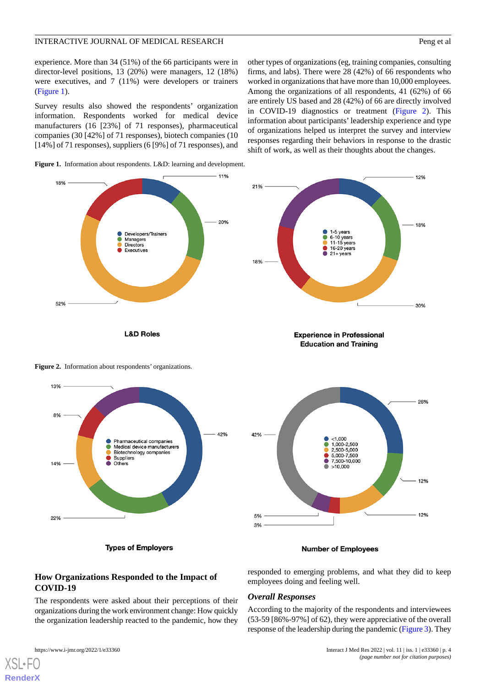experience. More than 34 (51%) of the 66 participants were in director-level positions, 13 (20%) were managers, 12 (18%) were executives, and 7 (11%) were developers or trainers ([Figure 1\)](#page-3-0).

Survey results also showed the respondents' organization information. Respondents worked for medical device manufacturers (16 [23%] of 71 responses), pharmaceutical companies (30 [42%] of 71 responses), biotech companies (10 [14%] of 71 responses), suppliers (6 [9%] of 71 responses), and

other types of organizations (eg, training companies, consulting firms, and labs). There were 28 (42%) of 66 respondents who worked in organizations that have more than 10,000 employees. Among the organizations of all respondents, 41 (62%) of 66 are entirely US based and 28 (42%) of 66 are directly involved in COVID-19 diagnostics or treatment [\(Figure 2](#page-3-1)). This information about participants' leadership experience and type of organizations helped us interpret the survey and interview responses regarding their behaviors in response to the drastic shift of work, as well as their thoughts about the changes.

<span id="page-3-0"></span>**Figure 1.** Information about respondents. L&D: learning and development.



<span id="page-3-1"></span>**Figure 2.** Information about respondents' organizations.



**Types of Employers** 





#### **Number of Employees**

employees doing and feeling well.

*Overall Responses*

responded to emerging problems, and what they did to keep

According to the majority of the respondents and interviewees (53-59 [86%-97%] of 62), they were appreciative of the overall response of the leadership during the pandemic [\(Figure 3\)](#page-4-0). They

## **How Organizations Responded to the Impact of COVID-19**

The respondents were asked about their perceptions of their organizations during the work environment change: How quickly the organization leadership reacted to the pandemic, how they

https://www.i-jmr.org/2022/1/e33360 Interact J Med Res 2022 | vol. 11 | iss. 1 | e33360 | p. 4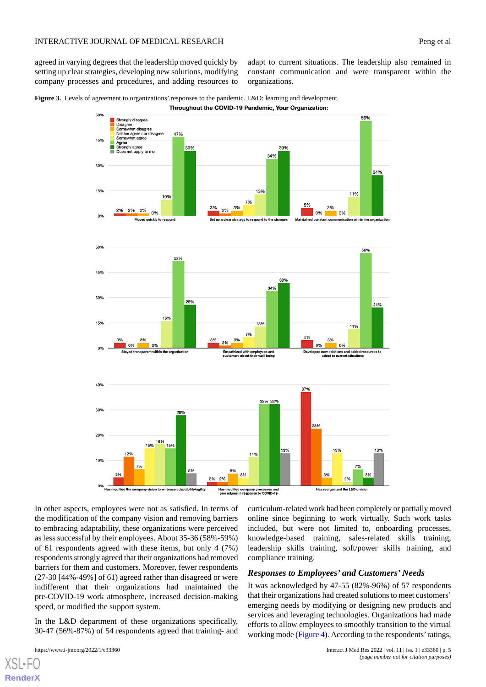agreed in varying degrees that the leadership moved quickly by setting up clear strategies, developing new solutions, modifying company processes and procedures, and adding resources to

adapt to current situations. The leadership also remained in constant communication and were transparent within the organizations.

<span id="page-4-0"></span>**Figure 3.** Levels of agreement to organizations' responses to the pandemic. L&D: learning and development. Throughout the COVID-19 Pandemic, Your Organization:



In other aspects, employees were not as satisfied. In terms of the modification of the company vision and removing barriers to embracing adaptability, these organizations were perceived as less successful by their employees. About 35-36 (58%-59%) of 61 respondents agreed with these items, but only 4 (7%) respondents strongly agreed that their organizations had removed barriers for them and customers. Moreover, fewer respondents (27-30 [44%-49%] of 61) agreed rather than disagreed or were indifferent that their organizations had maintained the pre-COVID-19 work atmosphere, increased decision-making speed, or modified the support system.

In the L&D department of these organizations specifically, 30-47 (56%-87%) of 54 respondents agreed that training- and

[XSL](http://www.w3.org/Style/XSL)•FO **[RenderX](http://www.renderx.com/)**

curriculum-related work had been completely or partially moved online since beginning to work virtually. Such work tasks included, but were not limited to, onboarding processes, knowledge-based training, sales-related skills training, leadership skills training, soft/power skills training, and compliance training.

## *Responses to Employees' and Customers' Needs*

It was acknowledged by 47-55 (82%-96%) of 57 respondents that their organizations had created solutions to meet customers' emerging needs by modifying or designing new products and services and leveraging technologies. Organizations had made efforts to allow employees to smoothly transition to the virtual working mode [\(Figure 4\)](#page-5-0). According to the respondents' ratings,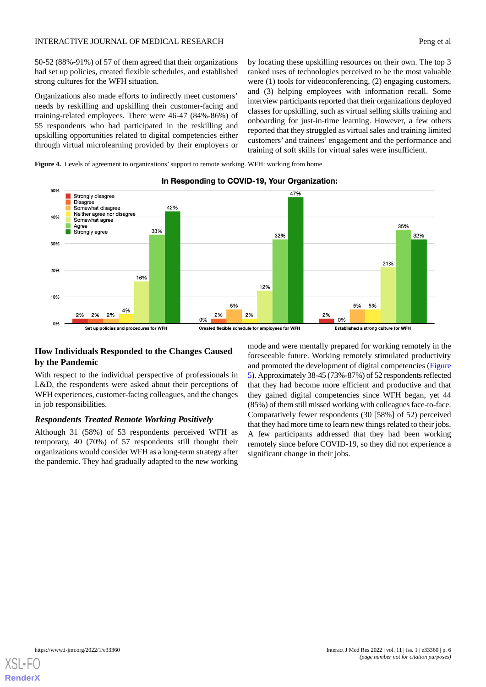50-52 (88%-91%) of 57 of them agreed that their organizations had set up policies, created flexible schedules, and established strong cultures for the WFH situation.

Organizations also made efforts to indirectly meet customers' needs by reskilling and upskilling their customer-facing and training-related employees. There were 46-47 (84%-86%) of 55 respondents who had participated in the reskilling and upskilling opportunities related to digital competencies either through virtual microlearning provided by their employers or by locating these upskilling resources on their own. The top 3 ranked uses of technologies perceived to be the most valuable were (1) tools for videoconferencing, (2) engaging customers, and (3) helping employees with information recall. Some interview participants reported that their organizations deployed classes for upskilling, such as virtual selling skills training and onboarding for just-in-time learning. However, a few others reported that they struggled as virtual sales and training limited customers' and trainees' engagement and the performance and training of soft skills for virtual sales were insufficient.

<span id="page-5-0"></span>Figure 4. Levels of agreement to organizations' support to remote working. WFH: working from home.



## In Responding to COVID-19, Your Organization:

## **How Individuals Responded to the Changes Caused by the Pandemic**

With respect to the individual perspective of professionals in L&D, the respondents were asked about their perceptions of WFH experiences, customer-facing colleagues, and the changes in job responsibilities.

## *Respondents Treated Remote Working Positively*

Although 31 (58%) of 53 respondents perceived WFH as temporary, 40 (70%) of 57 respondents still thought their organizations would consider WFH as a long-term strategy after the pandemic. They had gradually adapted to the new working mode and were mentally prepared for working remotely in the foreseeable future. Working remotely stimulated productivity and promoted the development of digital competencies ([Figure](#page-6-0) [5](#page-6-0)). Approximately 38-45 (73%-87%) of 52 respondents reflected that they had become more efficient and productive and that they gained digital competencies since WFH began, yet 44 (85%) of them still missed working with colleagues face-to-face. Comparatively fewer respondents (30 [58%] of 52) perceived that they had more time to learn new things related to their jobs. A few participants addressed that they had been working remotely since before COVID-19, so they did not experience a significant change in their jobs.

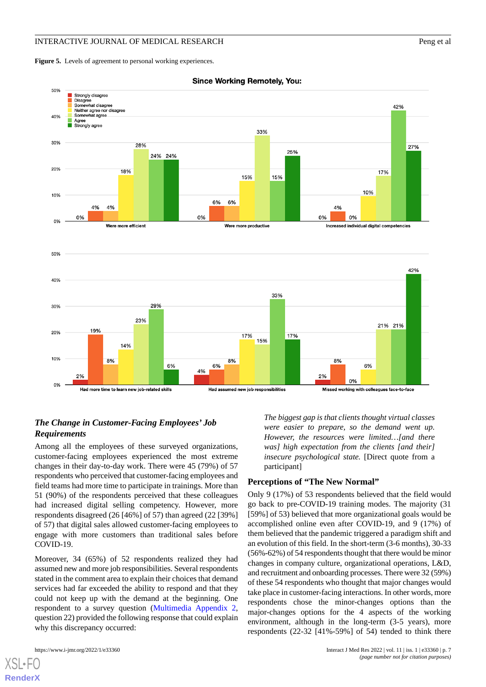<span id="page-6-0"></span>Figure 5. Levels of agreement to personal working experiences.



**Since Working Remotely, You:** 

## *The Change in Customer-Facing Employees' Job Requirements*

Among all the employees of these surveyed organizations, customer-facing employees experienced the most extreme changes in their day-to-day work. There were 45 (79%) of 57 respondents who perceived that customer-facing employees and field teams had more time to participate in trainings. More than 51 (90%) of the respondents perceived that these colleagues had increased digital selling competency. However, more respondents disagreed (26 [46%] of 57) than agreed (22 [39%] of 57) that digital sales allowed customer-facing employees to engage with more customers than traditional sales before COVID-19.

Moreover, 34 (65%) of 52 respondents realized they had assumed new and more job responsibilities. Several respondents stated in the comment area to explain their choices that demand services had far exceeded the ability to respond and that they could not keep up with the demand at the beginning. One respondent to a survey question ([Multimedia Appendix 2](#page-9-3), question 22) provided the following response that could explain why this discrepancy occurred:

[XSL](http://www.w3.org/Style/XSL)•FO **[RenderX](http://www.renderx.com/)**

*The biggest gap is that clients thought virtual classes were easier to prepare, so the demand went up. However, the resources were limited…[and there was] high expectation from the clients [and their] insecure psychological state.* [Direct quote from a participant]

## **Perceptions of "The New Normal"**

Only 9 (17%) of 53 respondents believed that the field would go back to pre-COVID-19 training modes. The majority (31 [59%] of 53) believed that more organizational goals would be accomplished online even after COVID-19, and 9 (17%) of them believed that the pandemic triggered a paradigm shift and an evolution of this field. In the short-term (3-6 months), 30-33 (56%-62%) of 54 respondents thought that there would be minor changes in company culture, organizational operations, L&D, and recruitment and onboarding processes. There were 32 (59%) of these 54 respondents who thought that major changes would take place in customer-facing interactions. In other words, more respondents chose the minor-changes options than the major-changes options for the 4 aspects of the working environment, although in the long-term (3-5 years), more respondents (22-32 [41%-59%] of 54) tended to think there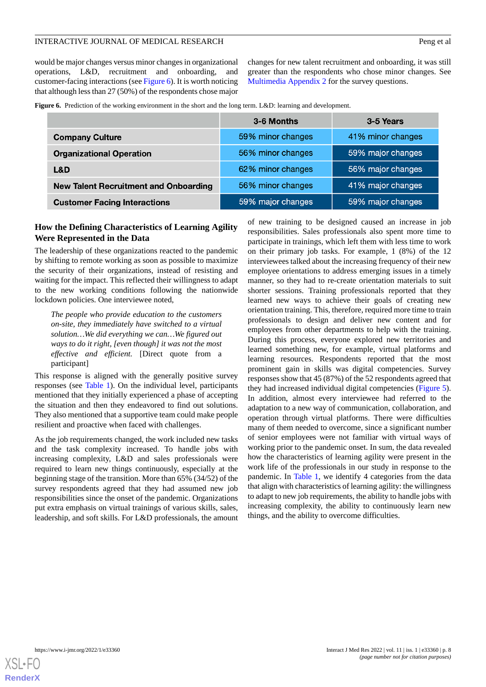would be major changes versus minor changes in organizational operations, L&D, recruitment and onboarding, and customer-facing interactions (see [Figure 6](#page-7-0)). It is worth noticing that although less than 27 (50%) of the respondents chose major changes for new talent recruitment and onboarding, it was still greater than the respondents who chose minor changes. See [Multimedia Appendix 2](#page-9-3) for the survey questions.

<span id="page-7-0"></span>**Figure 6.** Prediction of the working environment in the short and the long term. L&D: learning and development.

|                                              | 3-6 Months        | 3-5 Years         |
|----------------------------------------------|-------------------|-------------------|
| <b>Company Culture</b>                       | 59% minor changes | 41% minor changes |
| <b>Organizational Operation</b>              | 56% minor changes | 59% major changes |
| L&D                                          | 62% minor changes | 56% major changes |
| <b>New Talent Recruitment and Onboarding</b> | 56% minor changes | 41% major changes |
| <b>Customer Facing Interactions</b>          | 59% major changes | 59% major changes |

## **How the Defining Characteristics of Learning Agility Were Represented in the Data**

The leadership of these organizations reacted to the pandemic by shifting to remote working as soon as possible to maximize the security of their organizations, instead of resisting and waiting for the impact. This reflected their willingness to adapt to the new working conditions following the nationwide lockdown policies. One interviewee noted,

*The people who provide education to the customers on-site, they immediately have switched to a virtual solution…We did everything we can…We figured out ways to do it right, [even though] it was not the most effective and efficient.* [Direct quote from a participant]

This response is aligned with the generally positive survey responses (see [Table 1](#page-8-0)). On the individual level, participants mentioned that they initially experienced a phase of accepting the situation and then they endeavored to find out solutions. They also mentioned that a supportive team could make people resilient and proactive when faced with challenges.

As the job requirements changed, the work included new tasks and the task complexity increased. To handle jobs with increasing complexity, L&D and sales professionals were required to learn new things continuously, especially at the beginning stage of the transition. More than 65% (34/52) of the survey respondents agreed that they had assumed new job responsibilities since the onset of the pandemic. Organizations put extra emphasis on virtual trainings of various skills, sales, leadership, and soft skills. For L&D professionals, the amount

of new training to be designed caused an increase in job responsibilities. Sales professionals also spent more time to participate in trainings, which left them with less time to work on their primary job tasks. For example, 1 (8%) of the 12 interviewees talked about the increasing frequency of their new employee orientations to address emerging issues in a timely manner, so they had to re-create orientation materials to suit shorter sessions. Training professionals reported that they learned new ways to achieve their goals of creating new orientation training. This, therefore, required more time to train professionals to design and deliver new content and for employees from other departments to help with the training. During this process, everyone explored new territories and learned something new, for example, virtual platforms and learning resources. Respondents reported that the most prominent gain in skills was digital competencies. Survey responses show that 45 (87%) of the 52 respondents agreed that they had increased individual digital competencies [\(Figure 5\)](#page-6-0). In addition, almost every interviewee had referred to the adaptation to a new way of communication, collaboration, and operation through virtual platforms. There were difficulties many of them needed to overcome, since a significant number of senior employees were not familiar with virtual ways of working prior to the pandemic onset. In sum, the data revealed how the characteristics of learning agility were present in the work life of the professionals in our study in response to the pandemic. In [Table 1](#page-8-0), we identify 4 categories from the data that align with characteristics of learning agility: the willingness to adapt to new job requirements, the ability to handle jobs with increasing complexity, the ability to continuously learn new things, and the ability to overcome difficulties.

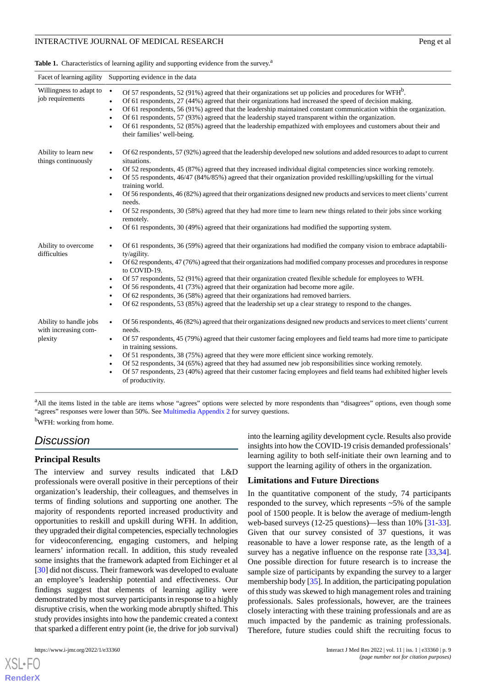<span id="page-8-0"></span>Table 1. Characteristics of learning agility and supporting evidence from the survey.<sup>a</sup>

| Facet of learning agility<br>Supporting evidence in the data |                                                                                                                                                                                                                                                                                                                                                                                                                                                                                                                                                                                                                                                                                                                                                                                                                                            |  |
|--------------------------------------------------------------|--------------------------------------------------------------------------------------------------------------------------------------------------------------------------------------------------------------------------------------------------------------------------------------------------------------------------------------------------------------------------------------------------------------------------------------------------------------------------------------------------------------------------------------------------------------------------------------------------------------------------------------------------------------------------------------------------------------------------------------------------------------------------------------------------------------------------------------------|--|
| Willingness to adapt to $\bullet$<br>job requirements        | Of 57 respondents, 52 (91%) agreed that their organizations set up policies and procedures for $WFH^b$ .<br>Of 61 respondents, 27 (44%) agreed that their organizations had increased the speed of decision making.<br>$\bullet$<br>Of 61 respondents, 56 (91%) agreed that the leadership maintained constant communication within the organization.<br>$\bullet$<br>Of 61 respondents, 57 (93%) agreed that the leadership stayed transparent within the organization.<br>$\bullet$<br>Of 61 respondents, 52 (85%) agreed that the leadership empathized with employees and customers about their and<br>their families' well-being.                                                                                                                                                                                                     |  |
| Ability to learn new<br>things continuously                  | Of 62 respondents, 57 (92%) agreed that the leadership developed new solutions and added resources to adapt to current<br>$\bullet$<br>situations.<br>Of 52 respondents, 45 (87%) agreed that they increased individual digital competencies since working remotely.<br>$\bullet$<br>Of 55 respondents, 46/47 (84%/85%) agreed that their organization provided reskilling/upskilling for the virtual<br>$\bullet$<br>training world.<br>Of 56 respondents, 46 (82%) agreed that their organizations designed new products and services to meet clients' current<br>$\bullet$<br>needs.<br>Of 52 respondents, 30 (58%) agreed that they had more time to learn new things related to their jobs since working<br>remotely.<br>Of 61 respondents, 30 (49%) agreed that their organizations had modified the supporting system.<br>$\bullet$ |  |
| Ability to overcome<br>difficulties                          | Of 61 respondents, 36 (59%) agreed that their organizations had modified the company vision to embrace adaptabili-<br>$\bullet$<br>ty/agility.<br>Of 62 respondents, 47 (76%) agreed that their organizations had modified company processes and procedures in response<br>$\bullet$<br>to COVID-19.<br>Of 57 respondents, 52 (91%) agreed that their organization created flexible schedule for employees to WFH.<br>$\bullet$<br>Of 56 respondents, 41 (73%) agreed that their organization had become more agile.<br>$\bullet$<br>Of 62 respondents, 36 (58%) agreed that their organizations had removed barriers.<br>$\bullet$<br>Of 62 respondents, 53 (85%) agreed that the leadership set up a clear strategy to respond to the changes.<br>$\bullet$                                                                              |  |
| Ability to handle jobs<br>with increasing com-<br>plexity    | Of 56 respondents, 46 (82%) agreed that their organizations designed new products and services to meet clients' current<br>$\bullet$<br>needs.<br>Of 57 respondents, 45 (79%) agreed that their customer facing employees and field teams had more time to participate<br>$\bullet$<br>in training sessions.<br>Of 51 respondents, 38 (75%) agreed that they were more efficient since working remotely.<br>$\bullet$<br>Of 52 respondents, 34 (65%) agreed that they had assumed new job responsibilities since working remotely.<br>Of 57 respondents, 23 (40%) agreed that their customer facing employees and field teams had exhibited higher levels<br>of productivity.                                                                                                                                                              |  |

<sup>a</sup>All the items listed in the table are items whose "agrees" options were selected by more respondents than "disagrees" options, even though some "agrees" responses were lower than 50%. See [Multimedia Appendix 2](#page-9-3) for survey questions. <sup>b</sup>WFH: working from home.

# *Discussion*

## **Principal Results**

The interview and survey results indicated that L&D professionals were overall positive in their perceptions of their organization's leadership, their colleagues, and themselves in terms of finding solutions and supporting one another. The majority of respondents reported increased productivity and opportunities to reskill and upskill during WFH. In addition, they upgraded their digital competencies, especially technologies for videoconferencing, engaging customers, and helping learners' information recall. In addition, this study revealed some insights that the framework adapted from Eichinger et al [[30\]](#page-11-1) did not discuss. Their framework was developed to evaluate an employee's leadership potential and effectiveness. Our findings suggest that elements of learning agility were demonstrated by most survey participants in response to a highly disruptive crisis, when the working mode abruptly shifted. This study provides insights into how the pandemic created a context that sparked a different entry point (ie, the drive for job survival)

[XSL](http://www.w3.org/Style/XSL)•FO **[RenderX](http://www.renderx.com/)**

into the learning agility development cycle. Results also provide insights into how the COVID-19 crisis demanded professionals' learning agility to both self-initiate their own learning and to support the learning agility of others in the organization.

## **Limitations and Future Directions**

In the quantitative component of the study, 74 participants responded to the survey, which represents ~5% of the sample pool of 1500 people. It is below the average of medium-length web-based surveys (12-25 questions)—less than 10% [[31-](#page-11-2)[33\]](#page-11-3). Given that our survey consisted of 37 questions, it was reasonable to have a lower response rate, as the length of a survey has a negative influence on the response rate [\[33](#page-11-3),[34\]](#page-11-4). One possible direction for future research is to increase the sample size of participants by expanding the survey to a larger membership body [[35\]](#page-11-5). In addition, the participating population of this study was skewed to high management roles and training professionals. Sales professionals, however, are the trainees closely interacting with these training professionals and are as much impacted by the pandemic as training professionals. Therefore, future studies could shift the recruiting focus to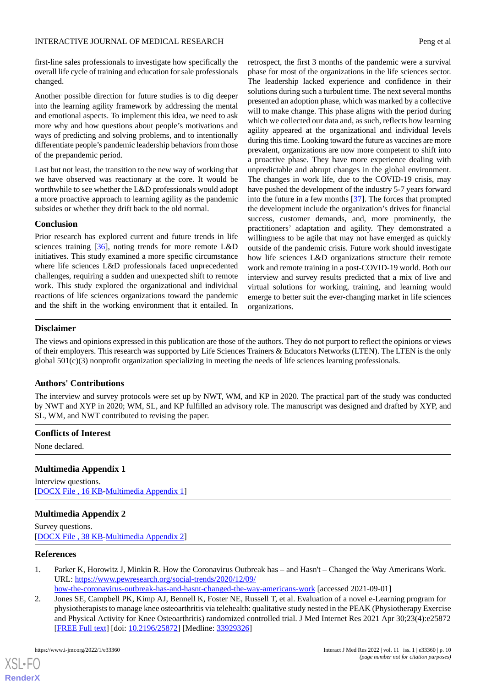first-line sales professionals to investigate how specifically the overall life cycle of training and education for sale professionals changed.

Another possible direction for future studies is to dig deeper into the learning agility framework by addressing the mental and emotional aspects. To implement this idea, we need to ask more why and how questions about people's motivations and ways of predicting and solving problems, and to intentionally differentiate people's pandemic leadership behaviors from those of the prepandemic period.

Last but not least, the transition to the new way of working that we have observed was reactionary at the core. It would be worthwhile to see whether the L&D professionals would adopt a more proactive approach to learning agility as the pandemic subsides or whether they drift back to the old normal.

## **Conclusion**

Prior research has explored current and future trends in life sciences training [[36\]](#page-11-6), noting trends for more remote L&D initiatives. This study examined a more specific circumstance where life sciences L&D professionals faced unprecedented challenges, requiring a sudden and unexpected shift to remote work. This study explored the organizational and individual reactions of life sciences organizations toward the pandemic and the shift in the working environment that it entailed. In

retrospect, the first 3 months of the pandemic were a survival phase for most of the organizations in the life sciences sector. The leadership lacked experience and confidence in their solutions during such a turbulent time. The next several months presented an adoption phase, which was marked by a collective will to make change. This phase aligns with the period during which we collected our data and, as such, reflects how learning agility appeared at the organizational and individual levels during this time. Looking toward the future as vaccines are more prevalent, organizations are now more competent to shift into a proactive phase. They have more experience dealing with unpredictable and abrupt changes in the global environment. The changes in work life, due to the COVID-19 crisis, may have pushed the development of the industry 5-7 years forward into the future in a few months [\[37](#page-11-7)]. The forces that prompted the development include the organization's drives for financial success, customer demands, and, more prominently, the practitioners' adaptation and agility. They demonstrated a willingness to be agile that may not have emerged as quickly outside of the pandemic crisis. Future work should investigate how life sciences L&D organizations structure their remote work and remote training in a post-COVID-19 world. Both our interview and survey results predicted that a mix of live and virtual solutions for working, training, and learning would emerge to better suit the ever-changing market in life sciences organizations.

## **Disclaimer**

The views and opinions expressed in this publication are those of the authors. They do not purport to reflect the opinions or views of their employers. This research was supported by Life Sciences Trainers & Educators Networks (LTEN). The LTEN is the only global 501(c)(3) nonprofit organization specializing in meeting the needs of life sciences learning professionals.

## **Authors' Contributions**

The interview and survey protocols were set up by NWT, WM, and KP in 2020. The practical part of the study was conducted by NWT and XYP in 2020; WM, SL, and KP fulfilled an advisory role. The manuscript was designed and drafted by XYP, and SL, WM, and NWT contributed to revising the paper.

#### <span id="page-9-2"></span>**Conflicts of Interest**

None declared.

## <span id="page-9-3"></span>**Multimedia Appendix 1**

Interview questions. [[DOCX File , 16 KB](https://jmir.org/api/download?alt_name=ijmr_v11i1e33360_app1.docx&filename=9f35a5c55634cd84562b3708072d576a.docx)-[Multimedia Appendix 1\]](https://jmir.org/api/download?alt_name=ijmr_v11i1e33360_app1.docx&filename=9f35a5c55634cd84562b3708072d576a.docx)

## <span id="page-9-0"></span>**Multimedia Appendix 2**

<span id="page-9-1"></span>Survey questions. [[DOCX File , 38 KB](https://jmir.org/api/download?alt_name=ijmr_v11i1e33360_app2.docx&filename=bf526d1199f7cb75e630e5b4dc79cdbc.docx)-[Multimedia Appendix 2\]](https://jmir.org/api/download?alt_name=ijmr_v11i1e33360_app2.docx&filename=bf526d1199f7cb75e630e5b4dc79cdbc.docx)

#### **References**

- 1. Parker K, Horowitz J, Minkin R. How the Coronavirus Outbreak has and Hasn't Changed the Way Americans Work. URL: [https://www.pewresearch.org/social-trends/2020/12/09/](https://www.pewresearch.org/social-trends/2020/12/09/how-the-coronavirus-outbreak-has-and-hasnt-changed-the-way-americans-work)
	- [how-the-coronavirus-outbreak-has-and-hasnt-changed-the-way-americans-work](https://www.pewresearch.org/social-trends/2020/12/09/how-the-coronavirus-outbreak-has-and-hasnt-changed-the-way-americans-work) [accessed 2021-09-01]
- 2. Jones SE, Campbell PK, Kimp AJ, Bennell K, Foster NE, Russell T, et al. Evaluation of a novel e-Learning program for physiotherapists to manage knee osteoarthritis via telehealth: qualitative study nested in the PEAK (Physiotherapy Exercise and Physical Activity for Knee Osteoarthritis) randomized controlled trial. J Med Internet Res 2021 Apr 30;23(4):e25872 [[FREE Full text](https://www.jmir.org/2021/4/e25872/)] [doi: [10.2196/25872\]](http://dx.doi.org/10.2196/25872) [Medline: [33929326\]](http://www.ncbi.nlm.nih.gov/entrez/query.fcgi?cmd=Retrieve&db=PubMed&list_uids=33929326&dopt=Abstract)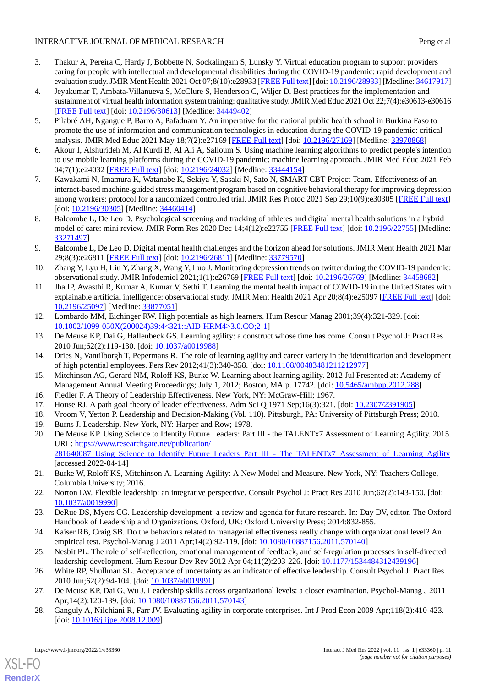- 3. Thakur A, Pereira C, Hardy J, Bobbette N, Sockalingam S, Lunsky Y. Virtual education program to support providers caring for people with intellectual and developmental disabilities during the COVID-19 pandemic: rapid development and evaluation study. JMIR Ment Health 2021 Oct 07;8(10):e28933 [\[FREE Full text](https://mental.jmir.org/2021/10/e28933/)] [doi: [10.2196/28933\]](http://dx.doi.org/10.2196/28933) [Medline: [34617917](http://www.ncbi.nlm.nih.gov/entrez/query.fcgi?cmd=Retrieve&db=PubMed&list_uids=34617917&dopt=Abstract)]
- 4. Jeyakumar T, Ambata-Villanueva S, McClure S, Henderson C, Wiljer D. Best practices for the implementation and sustainment of virtual health information system training: qualitative study. JMIR Med Educ 2021 Oct 22;7(4):e30613-e30616 [[FREE Full text](https://mededu.jmir.org/2021/4/e30613/)] [doi: [10.2196/30613\]](http://dx.doi.org/10.2196/30613) [Medline: [34449402\]](http://www.ncbi.nlm.nih.gov/entrez/query.fcgi?cmd=Retrieve&db=PubMed&list_uids=34449402&dopt=Abstract)
- 5. Pilabré AH, Ngangue P, Barro A, Pafadnam Y. An imperative for the national public health school in Burkina Faso to promote the use of information and communication technologies in education during the COVID-19 pandemic: critical analysis. JMIR Med Educ 2021 May 18;7(2):e27169 [[FREE Full text](https://mededu.jmir.org/2021/2/e27169/)] [doi: [10.2196/27169\]](http://dx.doi.org/10.2196/27169) [Medline: [33970868](http://www.ncbi.nlm.nih.gov/entrez/query.fcgi?cmd=Retrieve&db=PubMed&list_uids=33970868&dopt=Abstract)]
- <span id="page-10-0"></span>6. Akour I, Alshurideh M, Al Kurdi B, Al Ali A, Salloum S. Using machine learning algorithms to predict people's intention to use mobile learning platforms during the COVID-19 pandemic: machine learning approach. JMIR Med Educ 2021 Feb 04;7(1):e24032 [\[FREE Full text](https://mededu.jmir.org/2021/1/e24032/)] [doi: [10.2196/24032\]](http://dx.doi.org/10.2196/24032) [Medline: [33444154\]](http://www.ncbi.nlm.nih.gov/entrez/query.fcgi?cmd=Retrieve&db=PubMed&list_uids=33444154&dopt=Abstract)
- <span id="page-10-1"></span>7. Kawakami N, Imamura K, Watanabe K, Sekiya Y, Sasaki N, Sato N, SMART-CBT Project Team. Effectiveness of an internet-based machine-guided stress management program based on cognitive behavioral therapy for improving depression among workers: protocol for a randomized controlled trial. JMIR Res Protoc 2021 Sep 29;10(9):e30305 [\[FREE Full text\]](https://www.researchprotocols.org/2021/9/e30305/) [doi: [10.2196/30305](http://dx.doi.org/10.2196/30305)] [Medline: [34460414\]](http://www.ncbi.nlm.nih.gov/entrez/query.fcgi?cmd=Retrieve&db=PubMed&list_uids=34460414&dopt=Abstract)
- 8. Balcombe L, De Leo D. Psychological screening and tracking of athletes and digital mental health solutions in a hybrid model of care: mini review. JMIR Form Res 2020 Dec 14;4(12):e22755 [\[FREE Full text\]](https://formative.jmir.org/2020/12/e22755/) [doi: [10.2196/22755\]](http://dx.doi.org/10.2196/22755) [Medline: [33271497](http://www.ncbi.nlm.nih.gov/entrez/query.fcgi?cmd=Retrieve&db=PubMed&list_uids=33271497&dopt=Abstract)]
- 9. Balcombe L, De Leo D. Digital mental health challenges and the horizon ahead for solutions. JMIR Ment Health 2021 Mar 29;8(3):e26811 [\[FREE Full text](https://mental.jmir.org/2021/3/e26811/)] [doi: [10.2196/26811\]](http://dx.doi.org/10.2196/26811) [Medline: [33779570\]](http://www.ncbi.nlm.nih.gov/entrez/query.fcgi?cmd=Retrieve&db=PubMed&list_uids=33779570&dopt=Abstract)
- <span id="page-10-2"></span>10. Zhang Y, Lyu H, Liu Y, Zhang X, Wang Y, Luo J. Monitoring depression trends on twitter during the COVID-19 pandemic: observational study. JMIR Infodemiol 2021;1(1):e26769 [\[FREE Full text\]](http://europepmc.org/abstract/MED/34458682) [doi: [10.2196/26769](http://dx.doi.org/10.2196/26769)] [Medline: [34458682](http://www.ncbi.nlm.nih.gov/entrez/query.fcgi?cmd=Retrieve&db=PubMed&list_uids=34458682&dopt=Abstract)]
- <span id="page-10-3"></span>11. Jha IP, Awasthi R, Kumar A, Kumar V, Sethi T. Learning the mental health impact of COVID-19 in the United States with explainable artificial intelligence: observational study. JMIR Ment Health 2021 Apr 20;8(4):e25097 [\[FREE Full text](https://mental.jmir.org/2021/4/e25097/)] [doi: [10.2196/25097\]](http://dx.doi.org/10.2196/25097) [Medline: [33877051\]](http://www.ncbi.nlm.nih.gov/entrez/query.fcgi?cmd=Retrieve&db=PubMed&list_uids=33877051&dopt=Abstract)
- <span id="page-10-4"></span>12. Lombardo MM, Eichinger RW. High potentials as high learners. Hum Resour Manag 2001;39(4):321-329. [doi: [10.1002/1099-050X\(200024\)39:4<321::AID-HRM4>3.0.CO;2-1\]](http://dx.doi.org/10.1002/1099-050X(200024)39:4<321::AID-HRM4>3.0.CO;2-1)
- <span id="page-10-5"></span>13. De Meuse KP, Dai G, Hallenbeck GS. Learning agility: a construct whose time has come. Consult Psychol J: Pract Res 2010 Jun;62(2):119-130. [doi: [10.1037/a0019988\]](http://dx.doi.org/10.1037/a0019988)
- <span id="page-10-7"></span><span id="page-10-6"></span>14. Dries N, Vantilborgh T, Pepermans R. The role of learning agility and career variety in the identification and development of high potential employees. Pers Rev 2012;41(3):340-358. [doi: [10.1108/00483481211212977](http://dx.doi.org/10.1108/00483481211212977)]
- <span id="page-10-9"></span><span id="page-10-8"></span>15. Mitchinson AG, Gerard NM, Roloff KS, Burke W. Learning about learning agility. 2012 Jul Presented at: Academy of Management Annual Meeting Proceedings; July 1, 2012; Boston, MA p. 17742. [doi: [10.5465/ambpp.2012.288\]](http://dx.doi.org/10.5465/ambpp.2012.288)
- <span id="page-10-10"></span>16. Fiedler F. A Theory of Leadership Effectiveness. New York, NY: McGraw-Hill; 1967.
- 17. House RJ. A path goal theory of leader effectiveness. Adm Sci Q 1971 Sep;16(3):321. [doi: [10.2307/2391905\]](http://dx.doi.org/10.2307/2391905)
- 18. Vroom V, Yetton P. Leadership and Decision-Making (Vol. 110). Pittsburgh, PA: University of Pittsburgh Press; 2010.
- <span id="page-10-11"></span>19. Burns J. Leadership. New York, NY: Harper and Row; 1978.
- <span id="page-10-12"></span>20. De Meuse KP. Using Science to Identify Future Leaders: Part III - the TALENTx7 Assessment of Learning Agility. 2015. URL: [https://www.researchgate.net/publication/](https://www.researchgate.net/publication/281640087_Using_Science_to_Identify_Future_Leaders_Part_III_-_The_TALENTx7_Assessment_of_Learning_Agility) [281640087\\_Using\\_Science\\_to\\_Identify\\_Future\\_Leaders\\_Part\\_III\\_-\\_The\\_TALENTx7\\_Assessment\\_of\\_Learning\\_Agility](https://www.researchgate.net/publication/281640087_Using_Science_to_Identify_Future_Leaders_Part_III_-_The_TALENTx7_Assessment_of_Learning_Agility) [accessed 2022-04-14]
- <span id="page-10-14"></span><span id="page-10-13"></span>21. Burke W, Roloff KS, Mitchinson A. Learning Agility: A New Model and Measure. New York, NY: Teachers College, Columbia University; 2016.
- <span id="page-10-15"></span>22. Norton LW. Flexible leadership: an integrative perspective. Consult Psychol J: Pract Res 2010 Jun;62(2):143-150. [doi: [10.1037/a0019990](http://dx.doi.org/10.1037/a0019990)]
- <span id="page-10-16"></span>23. DeRue DS, Myers CG. Leadership development: a review and agenda for future research. In: Day DV, editor. The Oxford Handbook of Leadership and Organizations. Oxford, UK: Oxford University Press; 2014:832-855.
- <span id="page-10-17"></span>24. Kaiser RB, Craig SB. Do the behaviors related to managerial effectiveness really change with organizational level? An empirical test. Psychol-Manag J 2011 Apr;14(2):92-119. [doi: [10.1080/10887156.2011.570140\]](http://dx.doi.org/10.1080/10887156.2011.570140)
- <span id="page-10-18"></span>25. Nesbit PL. The role of self-reflection, emotional management of feedback, and self-regulation processes in self-directed leadership development. Hum Resour Dev Rev 2012 Apr 04;11(2):203-226. [doi: [10.1177/1534484312439196\]](http://dx.doi.org/10.1177/1534484312439196)
- 26. White RP, Shullman SL. Acceptance of uncertainty as an indicator of effective leadership. Consult Psychol J: Pract Res 2010 Jun;62(2):94-104. [doi: [10.1037/a0019991\]](http://dx.doi.org/10.1037/a0019991)
- 27. De Meuse KP, Dai G, Wu J. Leadership skills across organizational levels: a closer examination. Psychol-Manag J 2011 Apr;14(2):120-139. [doi: [10.1080/10887156.2011.570143](http://dx.doi.org/10.1080/10887156.2011.570143)]
- 28. Ganguly A, Nilchiani R, Farr JV. Evaluating agility in corporate enterprises. Int J Prod Econ 2009 Apr;118(2):410-423. [doi: [10.1016/j.ijpe.2008.12.009\]](http://dx.doi.org/10.1016/j.ijpe.2008.12.009)